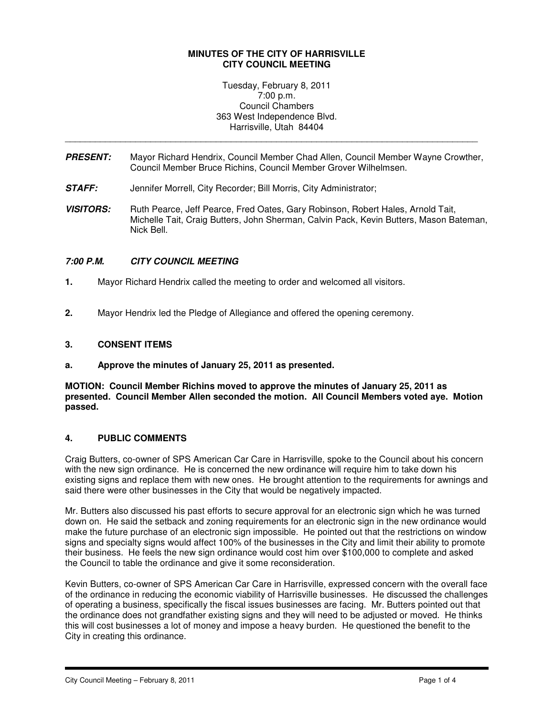### **MINUTES OF THE CITY OF HARRISVILLE CITY COUNCIL MEETING**

Tuesday, February 8, 2011 7:00 p.m. Council Chambers 363 West Independence Blvd. Harrisville, Utah 84404

**PRESENT:** Mayor Richard Hendrix, Council Member Chad Allen, Council Member Wayne Crowther, Council Member Bruce Richins, Council Member Grover Wilhelmsen.

\_\_\_\_\_\_\_\_\_\_\_\_\_\_\_\_\_\_\_\_\_\_\_\_\_\_\_\_\_\_\_\_\_\_\_\_\_\_\_\_\_\_\_\_\_\_\_\_\_\_\_\_\_\_\_\_\_\_\_\_\_\_\_\_\_\_\_\_\_\_\_\_\_\_\_\_\_\_\_\_\_\_

- **STAFF:** Jennifer Morrell, City Recorder; Bill Morris, City Administrator;
- VISITORS: Ruth Pearce, Jeff Pearce, Fred Oates, Gary Robinson, Robert Hales, Arnold Tait, Michelle Tait, Craig Butters, John Sherman, Calvin Pack, Kevin Butters, Mason Bateman, Nick Bell.

## **7:00 P.M. CITY COUNCIL MEETING**

- **1.** Mayor Richard Hendrix called the meeting to order and welcomed all visitors.
- **2.** Mayor Hendrix led the Pledge of Allegiance and offered the opening ceremony.

### **3. CONSENT ITEMS**

**a. Approve the minutes of January 25, 2011 as presented.**

**MOTION: Council Member Richins moved to approve the minutes of January 25, 2011 as presented. Council Member Allen seconded the motion. All Council Members voted aye. Motion passed.** 

## **4. PUBLIC COMMENTS**

Craig Butters, co-owner of SPS American Car Care in Harrisville, spoke to the Council about his concern with the new sign ordinance. He is concerned the new ordinance will require him to take down his existing signs and replace them with new ones. He brought attention to the requirements for awnings and said there were other businesses in the City that would be negatively impacted.

Mr. Butters also discussed his past efforts to secure approval for an electronic sign which he was turned down on. He said the setback and zoning requirements for an electronic sign in the new ordinance would make the future purchase of an electronic sign impossible. He pointed out that the restrictions on window signs and specialty signs would affect 100% of the businesses in the City and limit their ability to promote their business. He feels the new sign ordinance would cost him over \$100,000 to complete and asked the Council to table the ordinance and give it some reconsideration.

Kevin Butters, co-owner of SPS American Car Care in Harrisville, expressed concern with the overall face of the ordinance in reducing the economic viability of Harrisville businesses. He discussed the challenges of operating a business, specifically the fiscal issues businesses are facing. Mr. Butters pointed out that the ordinance does not grandfather existing signs and they will need to be adjusted or moved. He thinks this will cost businesses a lot of money and impose a heavy burden. He questioned the benefit to the City in creating this ordinance.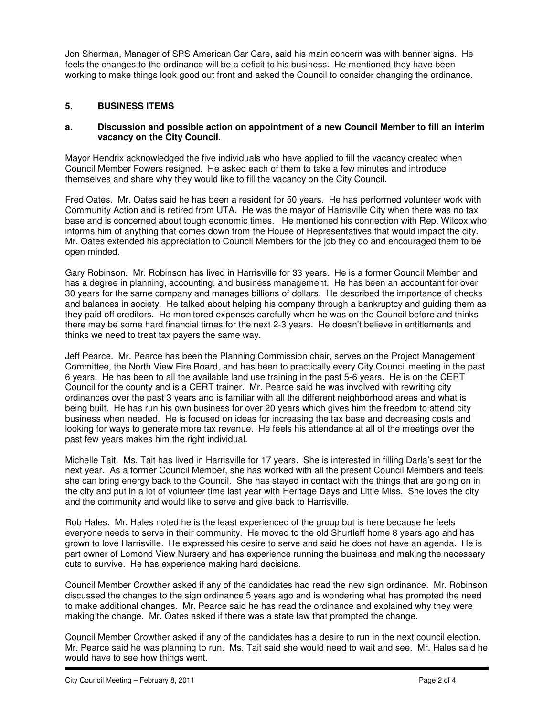Jon Sherman, Manager of SPS American Car Care, said his main concern was with banner signs. He feels the changes to the ordinance will be a deficit to his business. He mentioned they have been working to make things look good out front and asked the Council to consider changing the ordinance.

# **5. BUSINESS ITEMS**

### **a. Discussion and possible action on appointment of a new Council Member to fill an interim vacancy on the City Council.**

Mayor Hendrix acknowledged the five individuals who have applied to fill the vacancy created when Council Member Fowers resigned. He asked each of them to take a few minutes and introduce themselves and share why they would like to fill the vacancy on the City Council.

Fred Oates. Mr. Oates said he has been a resident for 50 years. He has performed volunteer work with Community Action and is retired from UTA. He was the mayor of Harrisville City when there was no tax base and is concerned about tough economic times. He mentioned his connection with Rep. Wilcox who informs him of anything that comes down from the House of Representatives that would impact the city. Mr. Oates extended his appreciation to Council Members for the job they do and encouraged them to be open minded.

Gary Robinson. Mr. Robinson has lived in Harrisville for 33 years. He is a former Council Member and has a degree in planning, accounting, and business management. He has been an accountant for over 30 years for the same company and manages billions of dollars. He described the importance of checks and balances in society. He talked about helping his company through a bankruptcy and guiding them as they paid off creditors. He monitored expenses carefully when he was on the Council before and thinks there may be some hard financial times for the next 2-3 years. He doesn't believe in entitlements and thinks we need to treat tax payers the same way.

Jeff Pearce. Mr. Pearce has been the Planning Commission chair, serves on the Project Management Committee, the North View Fire Board, and has been to practically every City Council meeting in the past 6 years. He has been to all the available land use training in the past 5-6 years. He is on the CERT Council for the county and is a CERT trainer. Mr. Pearce said he was involved with rewriting city ordinances over the past 3 years and is familiar with all the different neighborhood areas and what is being built. He has run his own business for over 20 years which gives him the freedom to attend city business when needed. He is focused on ideas for increasing the tax base and decreasing costs and looking for ways to generate more tax revenue. He feels his attendance at all of the meetings over the past few years makes him the right individual.

Michelle Tait. Ms. Tait has lived in Harrisville for 17 years. She is interested in filling Darla's seat for the next year. As a former Council Member, she has worked with all the present Council Members and feels she can bring energy back to the Council. She has stayed in contact with the things that are going on in the city and put in a lot of volunteer time last year with Heritage Days and Little Miss. She loves the city and the community and would like to serve and give back to Harrisville.

Rob Hales. Mr. Hales noted he is the least experienced of the group but is here because he feels everyone needs to serve in their community. He moved to the old Shurtleff home 8 years ago and has grown to love Harrisville. He expressed his desire to serve and said he does not have an agenda. He is part owner of Lomond View Nursery and has experience running the business and making the necessary cuts to survive. He has experience making hard decisions.

Council Member Crowther asked if any of the candidates had read the new sign ordinance. Mr. Robinson discussed the changes to the sign ordinance 5 years ago and is wondering what has prompted the need to make additional changes. Mr. Pearce said he has read the ordinance and explained why they were making the change. Mr. Oates asked if there was a state law that prompted the change.

Council Member Crowther asked if any of the candidates has a desire to run in the next council election. Mr. Pearce said he was planning to run. Ms. Tait said she would need to wait and see. Mr. Hales said he would have to see how things went.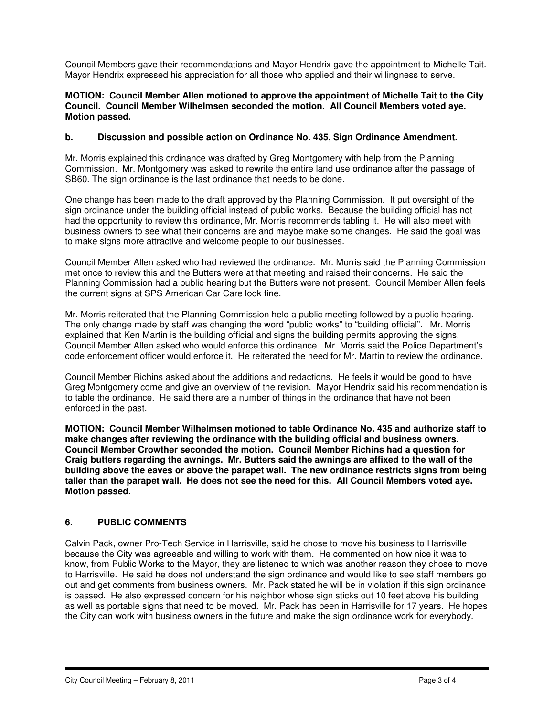Council Members gave their recommendations and Mayor Hendrix gave the appointment to Michelle Tait. Mayor Hendrix expressed his appreciation for all those who applied and their willingness to serve.

#### **MOTION: Council Member Allen motioned to approve the appointment of Michelle Tait to the City Council. Council Member Wilhelmsen seconded the motion. All Council Members voted aye. Motion passed.**

### **b. Discussion and possible action on Ordinance No. 435, Sign Ordinance Amendment.**

Mr. Morris explained this ordinance was drafted by Greg Montgomery with help from the Planning Commission. Mr. Montgomery was asked to rewrite the entire land use ordinance after the passage of SB60. The sign ordinance is the last ordinance that needs to be done.

One change has been made to the draft approved by the Planning Commission. It put oversight of the sign ordinance under the building official instead of public works. Because the building official has not had the opportunity to review this ordinance, Mr. Morris recommends tabling it. He will also meet with business owners to see what their concerns are and maybe make some changes. He said the goal was to make signs more attractive and welcome people to our businesses.

Council Member Allen asked who had reviewed the ordinance. Mr. Morris said the Planning Commission met once to review this and the Butters were at that meeting and raised their concerns. He said the Planning Commission had a public hearing but the Butters were not present. Council Member Allen feels the current signs at SPS American Car Care look fine.

Mr. Morris reiterated that the Planning Commission held a public meeting followed by a public hearing. The only change made by staff was changing the word "public works" to "building official". Mr. Morris explained that Ken Martin is the building official and signs the building permits approving the signs. Council Member Allen asked who would enforce this ordinance. Mr. Morris said the Police Department's code enforcement officer would enforce it. He reiterated the need for Mr. Martin to review the ordinance.

Council Member Richins asked about the additions and redactions. He feels it would be good to have Greg Montgomery come and give an overview of the revision. Mayor Hendrix said his recommendation is to table the ordinance. He said there are a number of things in the ordinance that have not been enforced in the past.

**MOTION: Council Member Wilhelmsen motioned to table Ordinance No. 435 and authorize staff to make changes after reviewing the ordinance with the building official and business owners. Council Member Crowther seconded the motion. Council Member Richins had a question for Craig butters regarding the awnings. Mr. Butters said the awnings are affixed to the wall of the building above the eaves or above the parapet wall. The new ordinance restricts signs from being taller than the parapet wall. He does not see the need for this. All Council Members voted aye. Motion passed.** 

## **6. PUBLIC COMMENTS**

Calvin Pack, owner Pro-Tech Service in Harrisville, said he chose to move his business to Harrisville because the City was agreeable and willing to work with them. He commented on how nice it was to know, from Public Works to the Mayor, they are listened to which was another reason they chose to move to Harrisville. He said he does not understand the sign ordinance and would like to see staff members go out and get comments from business owners. Mr. Pack stated he will be in violation if this sign ordinance is passed. He also expressed concern for his neighbor whose sign sticks out 10 feet above his building as well as portable signs that need to be moved. Mr. Pack has been in Harrisville for 17 years. He hopes the City can work with business owners in the future and make the sign ordinance work for everybody.